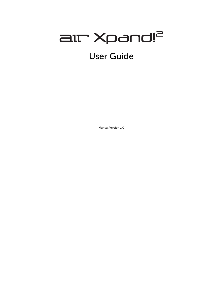# all Xpand!2 User Guide

Manual Version 1.0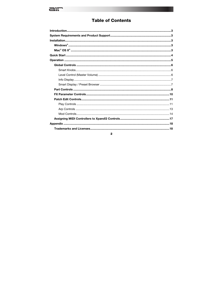## $arct$

## **Table of Contents**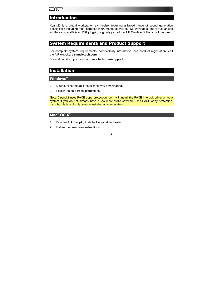## <span id="page-2-0"></span>**Introduction**

Xpand!2 is a virtual workstation synthesizer featuring a broad range of sound generation possibilities including multi-sampled instruments as well as FM, wavetable, and virtual analog synthesis. Xpand!2 is an VST plug-in, originally part of the AIR Creative Collection of plug-ins.

### **System Requirements and Product Support**

For complete system requirements, compatibility information, and product registration, visit the AIR website: **[airmusictech.com](http://www.airmusictech.com)**.

For additional support, visit **[airmusictech.com/support](http://www.airmusictech.com/support)**.

## **Installation**

#### **Windows®**

- 1. Double-click the **.exe** installer file you downloaded.
- 2. Follow the on-screen instructions.

**Note:** Xpand!2 uses PACE copy protection, so it will install the PACE InterLok driver on your system if you do not already have it. As most audio software uses PACE copy protection, though, this is probably already installed on your system.

#### **Mac® OS X®**

- 1. Double-click the **.pkg** installer file you downloaded.
- 2. Follow the on-screen instructions.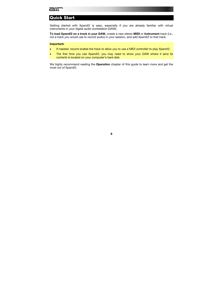## <span id="page-3-0"></span>aır

## **Quick Start**

Getting started with Xpand!2 is easy, especially if you are already familiar with virtual instruments in your digital audio workstation (DAW).

**To load Xpand!2 on a track in your DAW,** create a new stereo **MIDI** or **Instrument** track (i.e., not a track you would use to record audio) in your session, and add Xpand!2 to that track.

#### **Important:**

- If needed, record-enable the track to allow you to use a MIDI controller to play Xpand!2.
- The first time you use Xpand!2, you may need to show your DAW where it (and its content) is located on your computer's hard disk.

We highly recommend reading the *[Operation](#page-4-0)* chapter of this guide to learn more and get the most out of Xpand!2.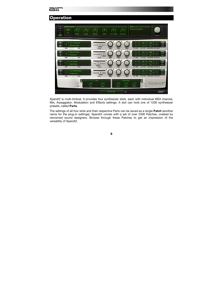<span id="page-4-0"></span>

## **Operation**

| А<br>$\mathsf{B}$<br>$\mathbf c$<br>D<br>EASY | <b>SMART KNOBS</b><br><b>MIDI</b><br>1 | Attack                                                         | Decay         | Release        | Cutoff<br>Env. Depth | <b>Fine Tune</b>                         | $INFO =$<br>Welcome to Xpand!2                  | LEVEL                                                                                                                  |
|-----------------------------------------------|----------------------------------------|----------------------------------------------------------------|---------------|----------------|----------------------|------------------------------------------|-------------------------------------------------|------------------------------------------------------------------------------------------------------------------------|
|                                               | <b>MIDI</b>                            | 001 Bright Pads<br><b>Massive Pad</b><br>PART<br>000 Soft Pads |               | LEVEL          |                      |                                          | G8<br>$C-2$<br>TR/FINE<br><b>HI/LOKEY</b><br>G8 | ગ-A)<br>Poly<br>ARP<br>32<br><b>MOD</b><br><b>VOICE MODE PB RANGE</b><br><b>PLAY</b><br>Poly                           |
| B<br>с                                        | <b>MIDI</b>                            | <b>Shimmer</b><br>PART<br>015 Vocals<br><b>Aah Choir</b>       | ä<br><b>A</b> | LEVEL          |                      |                                          | $C-2$<br>TR/FINE<br>G8<br>$C-2$                 | ARP<br>32<br><b>MOD</b><br><b>HI/LO KEY VOICE MODE PB RANGE</b><br>PLAY<br>Polv<br>ARP<br>32<br>MOD                    |
| D                                             | <b>MIDI</b><br><b>MIDI</b>             | PART<br>022 Synth Basses<br>Subsonic 1<br>PART                 | ×.            | LEVEL<br>LEVEL |                      |                                          | <b>TR/FINE</b><br>G8<br>$C-2$<br>TR/FINE        | <b>HI/LO KEY VOICE MODE PB RANGE</b><br>PLAY<br>Poh<br>ARP<br>32<br><b>MOD</b><br><b>HI/LO KEY VOICE MODE PB RANGE</b> |
|                                               |                                        | FX1                                                            |               | Hall<br>Shape  | <b>FX2 On: On:</b>   | <b>Rich Chorus</b><br>Rate<br>Depth<br>日 | FX2<br>G<br>To FX1                              | Xpar<br>au                                                                                                             |

Xpand!2 is multi-timbral. It provides four synthesizer slots, each with individual MIDI channel, Mix, Arpeggiator, Modulation and Effects settings. A slot can hold one of 1200 synthesizer presets, called **Parts**.

The settings of all four slots and their respective Parts can be saved as a single **Patch** (another name for the plug-in settings). Xpand!2 comes with a set of over 2300 Patches, created by renowned sound designers. Browse through these Patches to get an impression of the versatility of Xpand!2.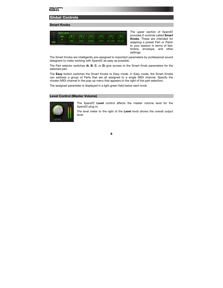#### <span id="page-5-0"></span>**Global Controls**

#### **Smart Knobs**



The upper section of Xpand!2 provides 6 controls called **Smart Knobs**. These are intended for adapting a preset Part or Patch to your session in terms of feel, timbre, envelope, and other settings.

The Smart Knobs are intelligently pre-assigned to important parameters by professional sound designers to make working with Xpand!2 as easy as possible.

The Part selector switches (**A**, **B**, **C**, or **D**) give access to the Smart Knob parameters for the selected part.

The **Easy** button switches the Smart Knobs to Easy mode. In Easy mode, the Smart Knobs can address a group of Parts that are all assigned to a single MIDI channel. Specify the chosen MIDI channel in the pop-up menu that appears to the right of the part selectors.

The assigned parameter is displayed in a light green field below each knob.

#### **Level Control (Master Volume)**



The Xpand!2 **Level** control affects the master volume level for the Xpand!2 plug-in.

The level meter to the right of the **Level** knob shows the overall output level.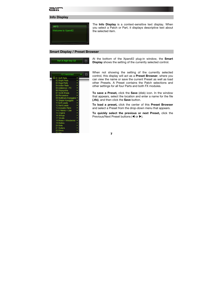## <span id="page-6-0"></span>ait

#### **Info Display**



The **Info Display** is a context-sensitive text display. When you select a Patch or Part, it displays descriptive text about the selected item.

#### **Smart Display / Preset Browser**





At the bottom of the Xpand!2 plug-in window, the **Smart Display** shows the setting of the currently selected control.

When not showing the setting of the currently selected control, this display will act as a **Preset Browser**, where you can view the name or save the current Preset as well as load other Presets. A Preset contains the Patch selections and other settings for all four Parts and both FX modules.

**To save a Preset,** click the **Save** (disk) icon. In the window that appears, select the location and enter a name for the file **(.tfx)**, and then click the **Save** button.

**To load a preset,** click the center of this **Preset Browser** and select a Preset from the drop-down menu that appears.

**To quickly select the previous or next Preset,** click the Previous/Next Preset buttons ( $\blacktriangleleft$  or  $\blacktriangleright$ ).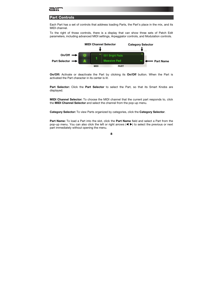#### <span id="page-7-0"></span>**Part Controls**

Each Part has a set of controls that address loading Parts, the Part's place in the mix, and its MIDI channel.

To the right of those controls, there is a display that can show three sets of Patch Edit parameters, including advanced MIDI settings, Arpeggiator controls, and Modulation controls.



**On/Off:** Activate or deactivate the Part by clicking its **On/Off** button. When the Part is activated the Part character in its center is lit.

**Part Selector:** Click the **Part Selector** to select the Part, so that its Smart Knobs are displayed.

**MIDI Channel Selector:** To choose the MIDI channel that the current part responds to, click the **MIDI Channel Selector** and select the channel from the pop-up menu.

**Category Selector:** To view Parts organized by categories, click the **Category Selector**.

**Part Name:** To load a Part into the slot, click the **Part Name** field and select a Part from the pop-up menu. You can also click the left or right arrows  $(\blacktriangleleft)$  to select the previous or next part immediately without opening the menu.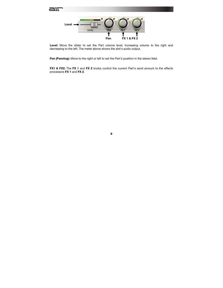

Level: Move the slider to set the Part volume level, increasing volume to the right and decreasing to the left. The meter above shows the slot's audio output.

**Pan (Panning):** Move to the right or left to set the Part's position in the stereo field.

**FX1 & FX2:** The **FX 1** and **FX 2** knobs control the current Part's send amount to the effects processors **FX 1** and **FX 2**.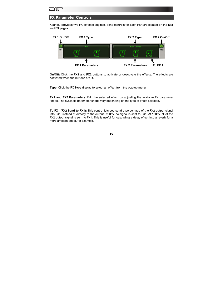#### <span id="page-9-0"></span>**FX Parameter Controls**

Xpand!2 provides two FX (effects) engines. Send controls for each Part are located on the **Mix** and **FX** pages.



**On/Off:** Click the **FX1** and **FX2** buttons to activate or deactivate the effects. The effects are activated when the buttons are lit.

**Type:** Click the FX **Type** display to select an effect from the pop-up menu.

**FX1 and FX2 Parameters:** Edit the selected effect by adjusting the available FX parameter knobs. The available parameter knobs vary depending on the type of effect selected.

**To FX1 (FX2 Send to FX1):** This control lets you send a percentage of the FX2 output signal into FX1, instead of directly to the output. At **0%**, no signal is sent to FX1. At **100%**, all of the FX2 output signal is sent to FX1. This is useful for cascading a delay effect into a reverb for a more ambient effect, for example.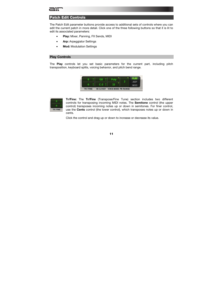## <span id="page-10-0"></span>דור

#### **Patch Edit Controls**

The Patch Edit parameter buttons provide access to additional sets of controls where you can edit the current patch in more detail. Click one of the three following buttons so that it is lit to edit its associated parameters:

- **Play:** Mixer, Panning, FX Sends, MIDI
- **Arp:** Arpeggiator Settings
- **Mod:** Modulation Settings

#### **Play Controls**

The **Play** controls let you set basic parameters for the current part, including pitch transposition, keyboard splits, voicing behavior, and pitch bend range.





**Tr/Fine:** The **Tr/Fine** (Transpose/Fine Tune) section includes two different controls for transposing incoming MIDI notes. The **Semitone** control (the upper control) transposes incoming notes up or down in semitones. For finer control, use the **Cents** control (the lower control), which transposes notes up or down in cents.

Click the control and drag up or down to increase or decrease its value.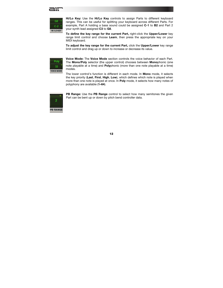



**Hi/Lo Key:** Use the **Hi/Lo Key** controls to assign Parts to different keyboard ranges. This can be useful for splitting your keyboard across different Parts. For example, Part A holding a bass sound could be assigned **C-1** to **B2** and Part 2 your synth lead assigned **C3** to **G8**.

**To define the key range for the current Part,** right-click the **Upper/Lower** key range limit control and choose **Learn**, then press the appropriate key on your MIDI keyboard.

**To adjust the key range for the current Part,** click the **Upper/Lower** key range limit control and drag up or down to increase or decrease its value.



**Voice Mode:** The **Voice Mode** section controls the voice behavior of each Part. The **Mono/Poly** selector (the upper control) chooses between **Mono**phonic (one note playable at a time) and **Poly**phonic (more than one note playable at a time) modes.

The lower control's function is different in each mode. In **Mono** mode, it selects the key priority (**Last**, **First**, **High**, **Low**), which defines which note is played when more than one note is played at once. In **Poly** mode, it selects how many notes of polyphony are available (**1–64**).



**PB Range:** Use the **PB Range** control to select how many semitones the given Part can be bent up or down by pitch bend controller data.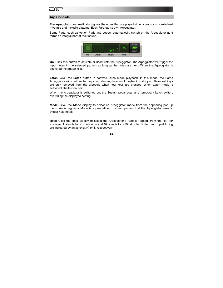#### <span id="page-12-0"></span>**Arp Controls**

The **arpeggiator** automatically triggers the notes that are played simultaneously in pre-defined rhythmic and melodic patterns. Each Part has its own Arpeggiator.

Some Parts, such as Action Pads and Loops, automatically switch on the Arpeggiator as it forms an integral part of their sound.



**On:** Click this button to activate or deactivate the Arpeggiator. The Arpeggiator will trigger the input notes in the selected pattern as long as the notes are held. When the Arpeggiator is activated the button is lit.

**Latch:** Click the **Latch** button to activate Latch mode playback. In this mode, the Part's Arpeggiator will continue to play after releasing keys until playback is stopped. Released keys are only removed from the arpeggio when new keys are pressed. When Latch mode is activated, the button is lit.

When the Arpeggiator is switched on, the Sustain pedal acts as a temporary Latch switch, overriding the displayed setting.

**Mode:** Click the **Mode** display to select an Arpeggiator mode from the appearing pop-up menu. An Arpeggiator Mode is a pre-defined rhythmic pattern that the Arpeggiator uses to trigger held notes.

**Rate:** Click the **Rate** display to select the Arpeggiator's Rate (or speed) from the list. For example, **1** stands for a whole note and **32** stands for a 32nd note. Dotted and triplet timing are indicated by an asterisk **(\*)** or **T**, respectively.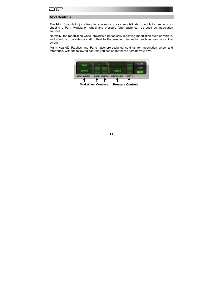#### <span id="page-13-0"></span>**Mod Controls**

The **Mod** (modulation) controls let you easily create sophisticated modulation settings for shaping a Part. Modulation wheel and pressure (aftertouch) can be used as modulation sources.

Normally, the modulation wheel provides a periodically repeating modulation such as vibrato, and aftertouch provides a static offset to the selected destination such as volume or filter swells.

Many Xpand!2 Patches and Parts have pre-assigned settings for modulation wheel and aftertouch. With the following controls you can adapt them or create your own.

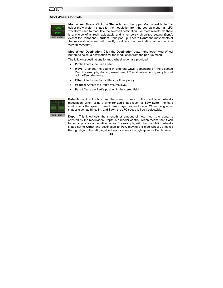#### **Mod Wheel Controls**



**Mod Wheel Shape:** Click the **Shape** button (the upper Mod Wheel button) to select the waveform shape for the modulation from the pop-up menu—an LFO waveform used to modulate the selected destination. For most waveforms there is a choice of a freely adjustable and a tempo-synchronized setting (Sync), except for **Const** and **Random**. If the pop-up is set to **Const** the movements of the modulation wheel will directly modulate the destination without a time varying waveform.

**Mod Wheel Destination:** Click the **Destination** button (the lower Mod Wheel button) to select a destination for the modulation from the pop-up menu.

The following destinations for mod wheel action are provided:

- **Pitch:** Affects the Part's pitch.
- **Wave:** Changes the sound in different ways, depending on the selected Part. For example, shaping waveforms, FM modulation depth, sample start point offset, detuning.
- **Filter:** Affects the Part's filter cutoff frequency.
- **Volume:** Affects the Part's volume level.
- **Pan:** Affects the Part's position in the stereo field.



**Rate:** Move this knob to set the speed or rate of the modulation wheel's modulation. When using a synchronized shape (such as **Saw Sync**), the Rate control sets the speed in fixed, tempo synchronized steps. When using other shapes (such as **Sine**, **Tri**, and **Saw**), the LFO speed is freely adjustable.

**Depth:** This knob sets the strength or amount of how much the signal is affected by the modulation. Depth is a bipolar control, which means that it can be set to positive or negative values. For example, with the modulation wheel's shape set to **Const** and destination to **Pan**, moving the mod wheel up makes the signal go to the left (negative Depth value) or the right (positive Depth value).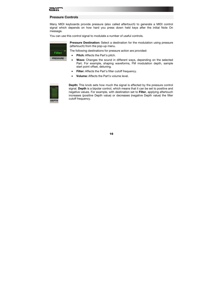#### **Pressure Controls**

Many MIDI keyboards provide pressure (also called *aftertouch*) to generate a MIDI control signal which depends on how hard you press down held keys after the initial Note On message.

You can use this control signal to modulate a number of useful controls.



**Pressure Destination:** Select a destination for the modulation using pressure (aftertouch) from the pop-up menu.

The following destinations for pressure action are provided:

- **Pitch:** Affects the Part's pitch.
- **Wave:** Changes the sound in different ways, depending on the selected Part. For example, shaping waveforms, FM modulation depth, sample start point offset, detuning.
- **Filter:** Affects the Part's filter cutoff frequency.
- **Volume:** Affects the Part's volume level.



**Depth:** This knob sets how much the signal is affected by the pressure control signal. **Depth** is a bipolar control, which means that it can be set to positive and negative values. For example, with destination set to **Filter**, applying aftertouch increases (positive Depth value) or decreases (negative Depth value) the filter cutoff frequency.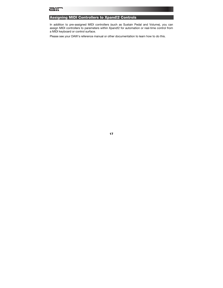#### <span id="page-16-0"></span>**Assigning MIDI Controllers to Xpand!2 Controls**

In addition to pre-assigned MIDI controllers (such as Sustain Pedal and Volume), you can assign MIDI controllers to parameters within Xpand!2 for automation or real-time control from a MIDI keyboard or control surface.

Please see your DAW's reference manual or other documentation to learn how to do this.